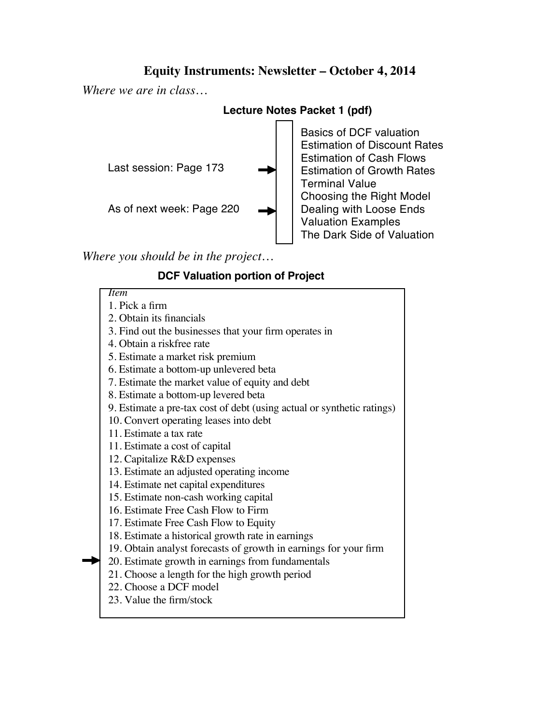### **Equity Instruments: Newsletter – October 4, 2014**

*Where we are in class…*

### **Lecture Notes Packet 1 (pdf)**



*Where you should be in the project…*

# **DCF Valuation portion of Project**

*Item* 1. Pick a firm 2. Obtain its financials 3. Find out the businesses that your firm operates in 4. Obtain a riskfree rate 5. Estimate a market risk premium 6. Estimate a bottom-up unlevered beta 7. Estimate the market value of equity and debt 8. Estimate a bottom-up levered beta 9. Estimate a pre-tax cost of debt (using actual or synthetic ratings) 10. Convert operating leases into debt 11. Estimate a tax rate 11. Estimate a cost of capital 12. Capitalize R&D expenses 13. Estimate an adjusted operating income 14. Estimate net capital expenditures 15. Estimate non-cash working capital 16. Estimate Free Cash Flow to Firm 17. Estimate Free Cash Flow to Equity 18. Estimate a historical growth rate in earnings 19. Obtain analyst forecasts of growth in earnings for your firm 20. Estimate growth in earnings from fundamentals 21. Choose a length for the high growth period 22. Choose a DCF model 23. Value the firm/stock